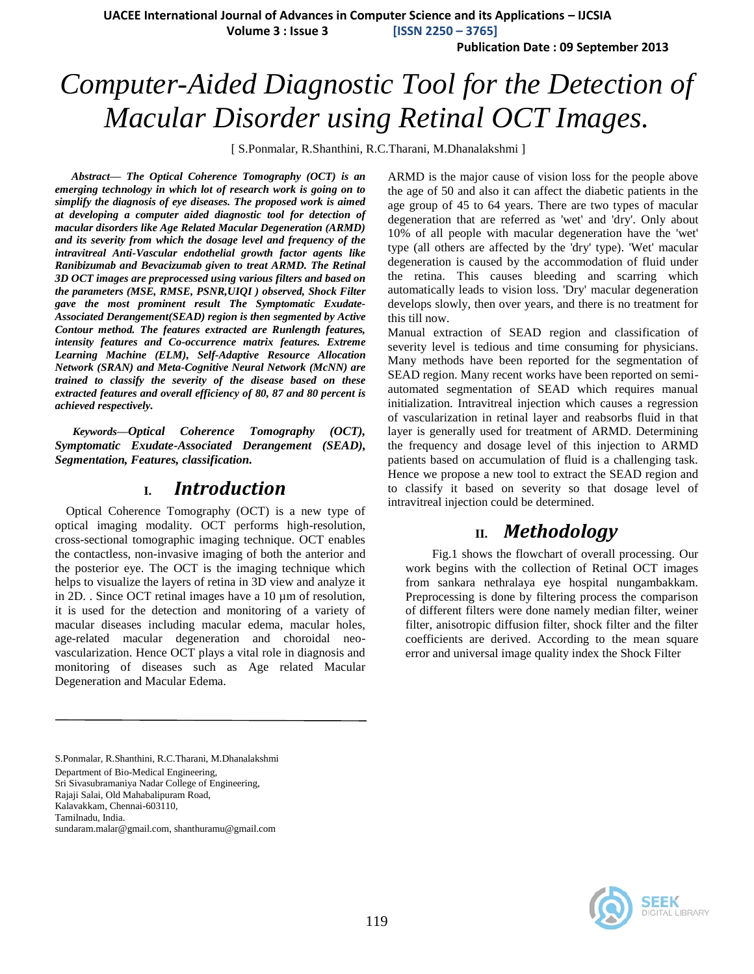**UACEE International Journal of Advances in Computer Science and its Applications – IJCSIA**

 **Volume 3 : Issue 3 [ISSN 2250 – 3765]**

**Publication Date : 09 September 2013**

# *Computer-Aided Diagnostic Tool for the Detection of Macular Disorder using Retinal OCT Images.*

[ S.Ponmalar, R.Shanthini, R.C.Tharani, M.Dhanalakshmi ]

*Abstract***—** *The Optical Coherence Tomography (OCT) is an emerging technology in which lot of research work is going on to simplify the diagnosis of eye diseases. The proposed work is aimed at developing a computer aided diagnostic tool for detection of macular disorders like Age Related Macular Degeneration (ARMD) and its severity from which the dosage level and frequency of the intravitreal Anti-Vascular endothelial growth factor agents like Ranibizumab and Bevacizumab given to treat ARMD. The Retinal 3D OCT images are preprocessed using various filters and based on the parameters (MSE, RMSE, PSNR,UIQI ) observed, Shock Filter gave the most prominent result The Symptomatic Exudate-Associated Derangement(SEAD) region is then segmented by Active Contour method. The features extracted are Runlength features, intensity features and Co-occurrence matrix features. Extreme Learning Machine (ELM), Self-Adaptive Resource Allocation Network (SRAN) and Meta-Cognitive Neural Network (McNN) are trained to classify the severity of the disease based on these extracted features and overall efficiency of 80, 87 and 80 percent is achieved respectively.*

*Keywords—Optical Coherence Tomography (OCT), Symptomatic Exudate-Associated Derangement (SEAD), Segmentation, Features, classification.*

#### **I.** *Introduction*

Optical Coherence Tomography (OCT) is a new type of optical imaging modality. OCT performs high-resolution, cross-sectional tomographic imaging technique. OCT enables the contactless, non-invasive imaging of both the anterior and the posterior eye. The OCT is the imaging technique which helps to visualize the layers of retina in 3D view and analyze it in 2D. . Since OCT retinal images have a 10 µm of resolution, it is used for the detection and monitoring of a variety of macular diseases including macular edema, macular holes, age-related macular degeneration and choroidal neovascularization. Hence OCT plays a vital role in diagnosis and monitoring of diseases such as Age related Macular Degeneration and Macular Edema.

ARMD is the major cause of vision loss for the people above the age of 50 and also it can affect the diabetic patients in the age group of 45 to 64 years. There are two types of macular degeneration that are referred as 'wet' and 'dry'. Only about 10% of all people with macular degeneration have the 'wet' type (all others are affected by the 'dry' type). 'Wet' macular degeneration is caused by the accommodation of fluid under the retina. This causes bleeding and scarring which automatically leads to vision loss. 'Dry' macular degeneration develops slowly, then over years, and there is no treatment for this till now.

Manual extraction of SEAD region and classification of severity level is tedious and time consuming for physicians. Many methods have been reported for the segmentation of SEAD region. Many recent works have been reported on semiautomated segmentation of SEAD which requires manual initialization. Intravitreal injection which causes a regression of vascularization in retinal layer and reabsorbs fluid in that layer is generally used for treatment of ARMD. Determining the frequency and dosage level of this injection to ARMD patients based on accumulation of fluid is a challenging task. Hence we propose a new tool to extract the SEAD region and to classify it based on severity so that dosage level of intravitreal injection could be determined.

## **II.** *Methodology*

Fig.1 shows the flowchart of overall processing. Our work begins with the collection of Retinal OCT images from sankara nethralaya eye hospital nungambakkam. Preprocessing is done by filtering process the comparison of different filters were done namely median filter, weiner filter, anisotropic diffusion filter, shock filter and the filter coefficients are derived. According to the mean square error and universal image quality index the Shock Filter

S.Ponmalar, R.Shanthini, R.C.Tharani, M.Dhanalakshmi Department of Bio-Medical Engineering, Sri Sivasubramaniya Nadar College of Engineering, Rajaji Salai, Old Mahabalipuram Road, Kalavakkam, Chennai-603110, Tamilnadu, India. sundaram.malar@gmail.com, shanthuramu@gmail.com

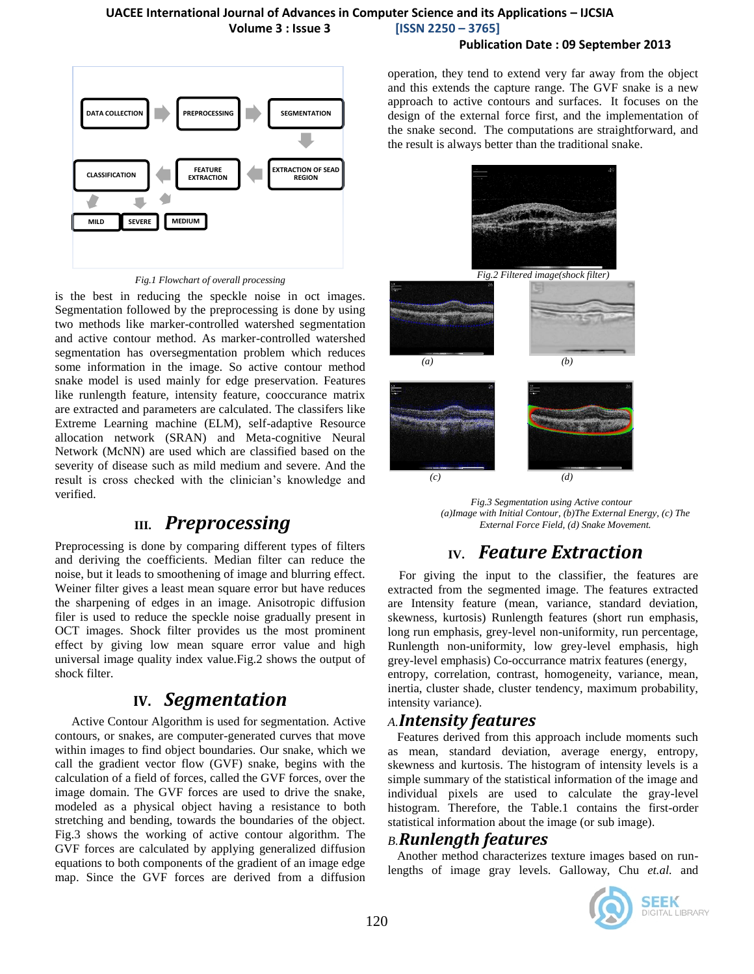#### **UACEE International Journal of Advances in Computer Science and its Applications – IJCSIA Volume 3 : Issue 3 [ISSN 2250 – 3765]**

#### **Publication Date : 09 September 2013**



*Fig.1 Flowchart of overall processing*

is the best in reducing the speckle noise in oct images. Segmentation followed by the preprocessing is done by using two methods like marker-controlled watershed segmentation and active contour method. As marker-controlled watershed segmentation has oversegmentation problem which reduces some information in the image. So active contour method snake model is used mainly for edge preservation. Features like runlength feature, intensity feature, cooccurance matrix are extracted and parameters are calculated. The classifers like Extreme Learning machine (ELM), self-adaptive Resource allocation network (SRAN) and Meta-cognitive Neural Network (McNN) are used which are classified based on the severity of disease such as mild medium and severe. And the result is cross checked with the clinician's knowledge and verified.

## **III.** *Preprocessing*

Preprocessing is done by comparing different types of filters and deriving the coefficients. Median filter can reduce the noise, but it leads to smoothening of image and blurring effect. Weiner filter gives a least mean square error but have reduces the sharpening of edges in an image. Anisotropic diffusion filer is used to reduce the speckle noise gradually present in OCT images. Shock filter provides us the most prominent effect by giving low mean square error value and high universal image quality index value.Fig.2 shows the output of shock filter.

### **IV.** *Segmentation*

Active Contour Algorithm is used for segmentation. Active contours, or snakes, are computer-generated curves that move within images to find object boundaries. Our snake, which we call the gradient vector flow (GVF) snake, begins with the calculation of a field of forces, called the GVF forces, over the image domain. The GVF forces are used to drive the snake, modeled as a physical object having a resistance to both stretching and bending, towards the boundaries of the object. Fig.3 shows the working of active contour algorithm. The GVF forces are calculated by applying generalized diffusion equations to both components of the gradient of an image edge map. Since the GVF forces are derived from a diffusion operation, they tend to extend very far away from the object and this extends the capture range. The GVF snake is a new approach to active contours and surfaces. It focuses on the design of the external force first, and the implementation of the snake second. The computations are straightforward, and the result is always better than the traditional snake.



*Fig.3 Segmentation using Active contour (a)Image with Initial Contour, (b)The External Energy, (c) The External Force Field, (d) Snake Movement.*

## **IV.** *Feature Extraction*

For giving the input to the classifier, the features are extracted from the segmented image. The features extracted are Intensity feature (mean, variance, standard deviation, skewness, kurtosis) Runlength features (short run emphasis, long run emphasis, grey-level non-uniformity, run percentage, Runlength non-uniformity, low grey-level emphasis, high grey-level emphasis) Co-occurrance matrix features (energy, entropy, correlation, contrast, homogeneity, variance, mean,

inertia, cluster shade, cluster tendency, maximum probability, intensity variance).

### *A.Intensity features*

Features derived from this approach include moments such as mean, standard deviation, average energy, entropy, skewness and kurtosis. The histogram of intensity levels is a simple summary of the statistical information of the image and individual pixels are used to calculate the gray-level histogram. Therefore, the Table.1 contains the first-order statistical information about the image (or sub image).

#### *B.Runlength features*

Another method characterizes texture images based on runlengths of image gray levels. Galloway, Chu *et.al.* and

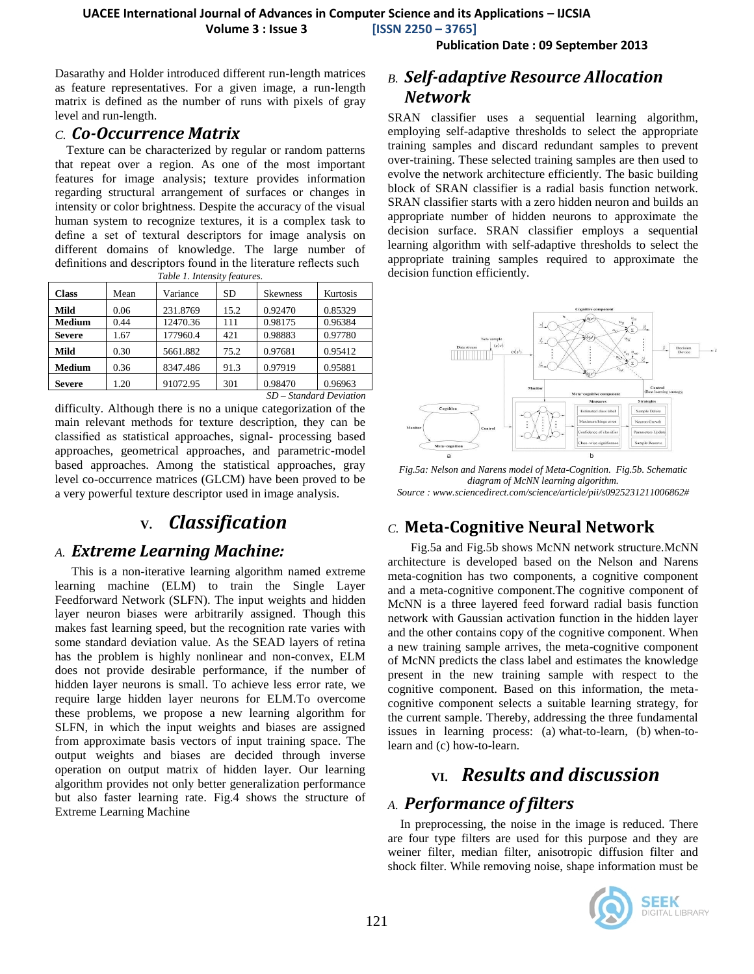**Volume 3 : Issue 3 [ISSN 2250 – 3765]**

**Publication Date : 09 September 2013**

Dasarathy and Holder introduced different run-length matrices as feature representatives. For a given image, a run-length matrix is defined as the number of runs with pixels of gray level and run-length.

### *C. Co-Occurrence Matrix*

Texture can be characterized by regular or random patterns that repeat over a region. As one of the most important features for image analysis; texture provides information regarding structural arrangement of surfaces or changes in intensity or color brightness. Despite the accuracy of the visual human system to recognize textures, it is a complex task to define a set of textural descriptors for image analysis on different domains of knowledge. The large number of definitions and descriptors found in the literature reflects such

| Table 1. Intensity features.                                                                                                                                                                                                                                                                                                                                                                   |      |          |      |                 |          |  |
|------------------------------------------------------------------------------------------------------------------------------------------------------------------------------------------------------------------------------------------------------------------------------------------------------------------------------------------------------------------------------------------------|------|----------|------|-----------------|----------|--|
| <b>Class</b>                                                                                                                                                                                                                                                                                                                                                                                   | Mean | Variance | SD   | <b>Skewness</b> | Kurtosis |  |
| Mild                                                                                                                                                                                                                                                                                                                                                                                           | 0.06 | 231.8769 | 15.2 | 0.92470         | 0.85329  |  |
| <b>Medium</b>                                                                                                                                                                                                                                                                                                                                                                                  | 0.44 | 12470.36 | 111  | 0.98175         | 0.96384  |  |
| <b>Severe</b>                                                                                                                                                                                                                                                                                                                                                                                  | 1.67 | 177960.4 | 421  | 0.98883         | 0.97780  |  |
| Mild                                                                                                                                                                                                                                                                                                                                                                                           | 0.30 | 5661.882 | 75.2 | 0.97681         | 0.95412  |  |
| Medium                                                                                                                                                                                                                                                                                                                                                                                         | 0.36 | 8347.486 | 91.3 | 0.97919         | 0.95881  |  |
| <b>Severe</b>                                                                                                                                                                                                                                                                                                                                                                                  | 1.20 | 91072.95 | 301  | 0.98470         | 0.96963  |  |
| $\alpha$ , $\beta$ , $\beta$ , $\beta$ , $\beta$ , $\beta$ , $\beta$ , $\beta$ , $\beta$ , $\beta$ , $\beta$ , $\beta$ , $\beta$ , $\beta$ , $\beta$ , $\beta$ , $\beta$ , $\beta$ , $\beta$ , $\beta$ , $\beta$ , $\beta$ , $\beta$ , $\beta$ , $\beta$ , $\beta$ , $\beta$ , $\beta$ , $\beta$ , $\beta$ , $\beta$ , $\beta$ , $\beta$ , $\beta$ , $\beta$ , $\beta$ , $\beta$ ,<br>$\alpha$ |      |          |      |                 |          |  |

*SD – Standard Deviation*

difficulty. Although there is no a unique categorization of the main relevant methods for texture description, they can be classified as statistical approaches, signal- processing based approaches, geometrical approaches, and parametric-model based approaches. Among the statistical approaches, gray level co-occurrence matrices (GLCM) have been proved to be a very powerful texture descriptor used in image analysis.

## **V.** *Classification*

### *A. Extreme Learning Machine:*

This is a non-iterative learning algorithm named extreme learning machine (ELM) to train the Single Layer Feedforward Network (SLFN). The input weights and hidden layer neuron biases were arbitrarily assigned. Though this makes fast learning speed, but the recognition rate varies with some standard deviation value. As the SEAD layers of retina has the problem is highly nonlinear and non-convex, ELM does not provide desirable performance, if the number of hidden layer neurons is small. To achieve less error rate, we require large hidden layer neurons for ELM.To overcome these problems, we propose a new learning algorithm for SLFN, in which the input weights and biases are assigned from approximate basis vectors of input training space. The output weights and biases are decided through inverse operation on output matrix of hidden layer. Our learning algorithm provides not only better generalization performance but also faster learning rate. Fig.4 shows the structure of Extreme Learning Machine

### *B. Self-adaptive Resource Allocation Network*

SRAN classifier uses a sequential learning algorithm, employing self-adaptive thresholds to select the appropriate training samples and discard redundant samples to prevent over-training. These selected training samples are then used to evolve the network architecture efficiently. The basic building block of SRAN classifier is a radial basis function network. SRAN classifier starts with a zero hidden neuron and builds an appropriate number of hidden neurons to approximate the decision surface. SRAN classifier employs a sequential learning algorithm with self-adaptive thresholds to select the appropriate training samples required to approximate the decision function efficiently.



*Fig.5a: Nelson and Narens model of Meta-Cognition. Fig.5b. Schematic diagram of McNN learning algorithm. Source : www.sciencedirect.com/science/article/pii/s0925231211006862#*

### *C.* **Meta-Cognitive Neural Network**

Fig.5a and Fig.5b shows McNN network structure.McNN architecture is developed based on the Nelson and Narens meta-cognition has two components, a cognitive component and a meta-cognitive component.The cognitive component of McNN is a three layered feed forward radial basis function network with Gaussian activation function in the hidden layer and the other contains copy of the cognitive component. When a new training sample arrives, the meta-cognitive component of McNN predicts the class label and estimates the knowledge present in the new training sample with respect to the cognitive component. Based on this information, the metacognitive component selects a suitable learning strategy, for the current sample. Thereby, addressing the three fundamental issues in learning process: (a) what-to-learn, (b) when-tolearn and (c) how-to-learn.

## **VI.** *Results and discussion*

## *A. Performance of filters*

 In preprocessing, the noise in the image is reduced. There are four type filters are used for this purpose and they are weiner filter, median filter, anisotropic diffusion filter and shock filter. While removing noise, shape information must be

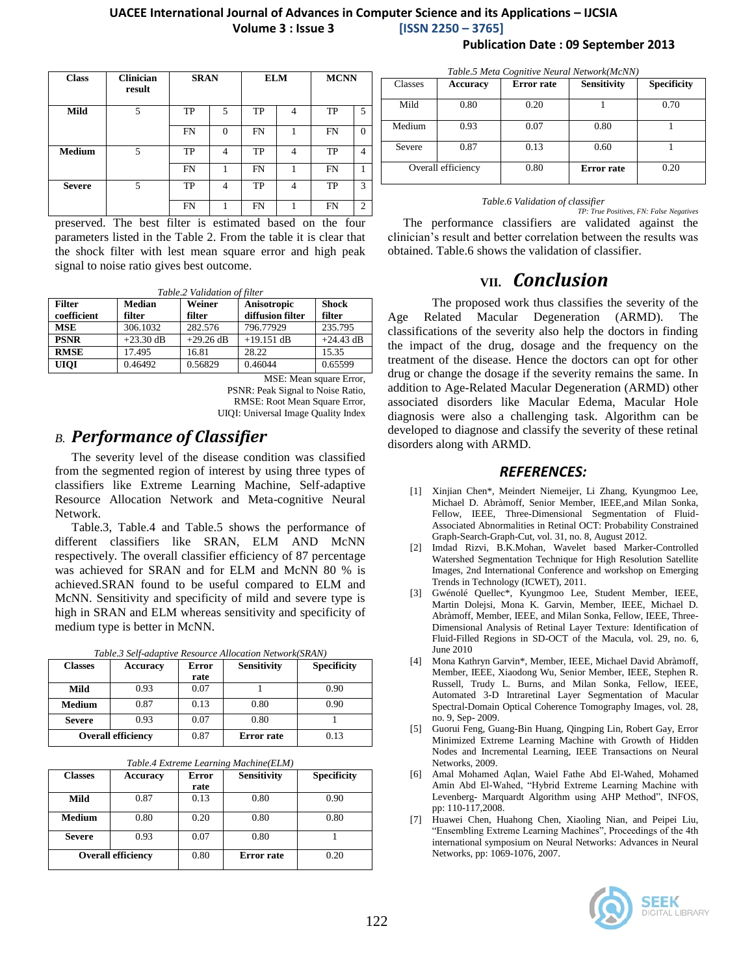#### **UACEE International Journal of Advances in Computer Science and its Applications – IJCSIA Volume 3 : Issue 3 [ISSN 2250 – 3765]**

| <b>Class</b>  | <b>Clinician</b><br>result | <b>SRAN</b> |          | <b>ELM</b> |   | <b>MCNN</b> |          |
|---------------|----------------------------|-------------|----------|------------|---|-------------|----------|
| Mild          | 5                          | TP          | 5        | TP         | 4 | TP          | 5        |
|               |                            | <b>FN</b>   | $\Omega$ | <b>FN</b>  |   | <b>FN</b>   | $\Omega$ |
| <b>Medium</b> | 5                          | <b>TP</b>   | 4        | TP         | 4 | TP          | 4        |
|               |                            | <b>FN</b>   |          | FN         |   | <b>FN</b>   | 1        |
| <b>Severe</b> | 5                          | TP          | 4        | TP         | 4 | TP          | 3        |
|               |                            | <b>FN</b>   |          | FN         |   | FN          | 2        |

preserved. The best filter is estimated based on the four parameters listed in the Table 2. From the table it is clear that the shock filter with lest mean square error and high peak signal to noise ratio gives best outcome.

*Table.2 Validation of filter*

| <b>Filter</b> | <b>Median</b> | Weiner      | Anisotropic      | <b>Shock</b> |
|---------------|---------------|-------------|------------------|--------------|
| coefficient   | filter        | filter      | diffusion filter | filter       |
| <b>MSE</b>    | 306.1032      | 282.576     | 796.77929        | 235.795      |
| <b>PSNR</b>   | $+23.30$ dB   | $+29.26$ dB | $+19.151$ dB     | $+24.43$ dB  |
| <b>RMSE</b>   | 17.495        | 16.81       | 28.22            | 15.35        |
| <b>UIOI</b>   | 0.46492       | 0.56829     | 0.46044          | 0.65599      |

MSE: Mean square Error, PSNR: Peak Signal to Noise Ratio, RMSE: Root Mean Square Error, UIQI: Universal Image Quality Index

### *B. Performance of Classifier*

The severity level of the disease condition was classified from the segmented region of interest by using three types of classifiers like Extreme Learning Machine, Self-adaptive Resource Allocation Network and Meta-cognitive Neural Network.

Table.3, Table.4 and Table.5 shows the performance of different classifiers like SRAN, ELM AND McNN respectively. The overall classifier efficiency of 87 percentage was achieved for SRAN and for ELM and McNN 80 % is achieved.SRAN found to be useful compared to ELM and McNN. Sensitivity and specificity of mild and severe type is high in SRAN and ELM whereas sensitivity and specificity of medium type is better in McNN.

| Table.3 Self-adaptive Resource Allocation Network(SRAN) |  |
|---------------------------------------------------------|--|
|---------------------------------------------------------|--|

| <b>Classes</b>            | <b>Accuracy</b> | Error | <b>Sensitivity</b> | <b>Specificity</b> |
|---------------------------|-----------------|-------|--------------------|--------------------|
|                           |                 | rate  |                    |                    |
| Mild                      | 0.93            | 0.07  |                    | 0.90               |
| <b>Medium</b>             | 0.87            | 0.13  | 0.80               | 0.90               |
| <b>Severe</b>             | 0.93            | 0.07  | 0.80               |                    |
| <b>Overall efficiency</b> |                 | 0.87  | Error rate         | 0.13               |

| Table.4 Extreme Learning Machine(ELM) |  |  |  |
|---------------------------------------|--|--|--|
|---------------------------------------|--|--|--|

| <b>Classes</b> | Accuracy                  | <b>Error</b> | <b>Sensitivity</b> | <b>Specificity</b> |
|----------------|---------------------------|--------------|--------------------|--------------------|
|                |                           | rate         |                    |                    |
| Mild           | 0.87                      | 0.13         | 0.80               | 0.90               |
| <b>Medium</b>  | 0.80                      | 0.20         | 0.80               | 0.80               |
| <b>Severe</b>  | 0.93                      | 0.07         | 0.80               |                    |
|                | <b>Overall efficiency</b> | 0.80         | Error rate         | 0.20               |

**Publication Date : 09 September 2013**

| Table.5 Meta Cognitive Neural Network(McNN) |                    |                   |                    |                    |  |  |
|---------------------------------------------|--------------------|-------------------|--------------------|--------------------|--|--|
| Classes                                     | Accuracy           | <b>Error</b> rate | <b>Sensitivity</b> | <b>Specificity</b> |  |  |
| Mild                                        | 0.80               | 0.20              |                    | 0.70               |  |  |
| Medium                                      | 0.93               | 0.07              | 0.80               |                    |  |  |
| Severe                                      | 0.87               | 0.13              | 0.60               |                    |  |  |
|                                             | Overall efficiency | 0.80              | <b>Error</b> rate  | 0.20               |  |  |

#### *Table.6 Validation of classifier*

*TP: True Positives, FN: False Negatives* The performance classifiers are validated against the clinician's result and better correlation between the results was obtained. Table.6 shows the validation of classifier.

### **VII.** *Conclusion*

The proposed work thus classifies the severity of the Age Related Macular Degeneration (ARMD). The classifications of the severity also help the doctors in finding the impact of the drug, dosage and the frequency on the treatment of the disease. Hence the doctors can opt for other drug or change the dosage if the severity remains the same. In addition to Age-Related Macular Degeneration (ARMD) other associated disorders like Macular Edema, Macular Hole diagnosis were also a challenging task. Algorithm can be developed to diagnose and classify the severity of these retinal disorders along with ARMD.

#### *REFERENCES:*

- [1] Xinjian Chen\*, Meindert Niemeijer, Li Zhang, Kyungmoo Lee, Michael D. Abràmoff, Senior Member, IEEE,and Milan Sonka, Fellow, IEEE, Three-Dimensional Segmentation of Fluid-Associated Abnormalities in Retinal OCT: Probability Constrained Graph-Search-Graph-Cut, vol. 31, no. 8, August 2012.
- [2] Imdad Rizvi, B.K.Mohan, Wavelet based Marker-Controlled Watershed Segmentation Technique for High Resolution Satellite Images, 2nd International Conference and workshop on Emerging Trends in Technology (ICWET), 2011.
- [3] Gwénolé Quellec\*, Kyungmoo Lee, Student Member, IEEE, Martin Dolejsi, Mona K. Garvin, Member, IEEE, Michael D. Abràmoff, Member, IEEE, and Milan Sonka, Fellow, IEEE, Three-Dimensional Analysis of Retinal Layer Texture: Identification of Fluid-Filled Regions in SD-OCT of the Macula, vol. 29, no. 6, June 2010
- [4] Mona Kathryn Garvin\*, Member, IEEE, Michael David Abràmoff, Member, IEEE, Xiaodong Wu, Senior Member, IEEE, Stephen R. Russell, Trudy L. Burns, and Milan Sonka, Fellow, IEEE, Automated 3-D Intraretinal Layer Segmentation of Macular Spectral-Domain Optical Coherence Tomography Images, vol. 28, no. 9, Sep- 2009.
- [5] Guorui Feng, Guang-Bin Huang, Qingping Lin, Robert Gay, Error Minimized Extreme Learning Machine with Growth of Hidden Nodes and Incremental Learning, IEEE Transactions on Neural Networks, 2009.
- [6] Amal Mohamed Aqlan, Waiel Fathe Abd El-Wahed, Mohamed Amin Abd El-Wahed, "Hybrid Extreme Learning Machine with Levenberg- Marquardt Algorithm using AHP Method", INFOS, pp: 110-117,2008.
- [7] Huawei Chen, Huahong Chen, Xiaoling Nian, and Peipei Liu, "Ensembling Extreme Learning Machines", Proceedings of the 4th international symposium on Neural Networks: Advances in Neural Networks, pp: 1069-1076, 2007.